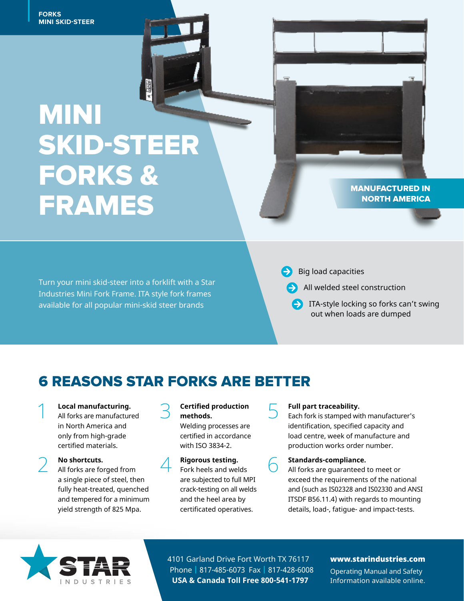**MINI SKID-STEER**<br>MINI SKID-STEER **FORKS**

# MINI<br>CKIN.CTEEI JNIP J<br>Eadk MINI SKID-STEER FORKS & FRAMES

Industries Mini Fork Frame. ITA style fork frames and the control of the control of the control of the control o Turn your mini skid-steer into a forklift with a Star available for all popular mini-skid steer brands

MANUFACTURED IN NORTH AMERICA

Big load capacities

All welded steel construction

**ITA-style locking so forks can't swing** out when loads are dumped

## 6 REASONS STAR FORKS ARE BETTER

**1 Local manufacturing.**<br>
All forks are manufactured in North America and only from high-grade certified materials.

2 **No shortcuts.**  All forks are forged from a single piece of steel, then fully heat-treated, quenched and tempered for a minimum yield strength of 825 Mpa.

### 3 **Certified production methods.**

Welding processes are certified in accordance with ISO 3834-2.

### **4 Rigorous testing.**<br>Fork heels and welds are subjected to full MPI crack-testing on all welds and the heel area by certificated operatives.

**Full part traceability.**<br>
Each fork is stamped with manufacturer's identification, specified capacity and load centre, week of manufacture and production works order number.

**6 Standards-compliance.**<br>
All forks are guaranteed to meet or exceed the requirements of the national and (such as IS02328 and IS02330 and ANSI ITSDF B56.11.4) with regards to mounting details, load-, fatigue- and impact-tests.



4101 Garland Drive Fort Worth TX 76117 Phone | 817-485-6073 Fax | 817-428-6008 **USA & Canada Toll Free 800-541-1797**

### www.starindustries.com

Operating Manual and Safety Information available online.